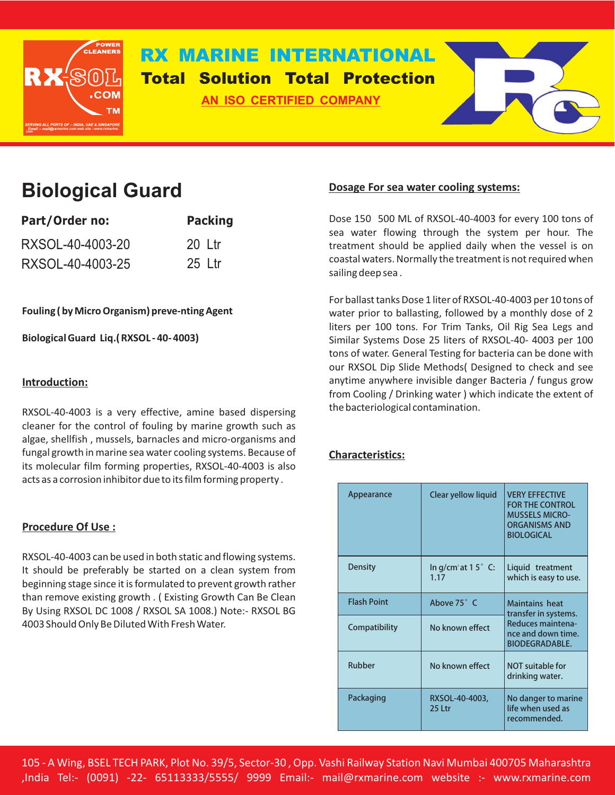

# **RX MARINE INTERNATIONAL Total Solution Total Protection**

**AN ISO CERTIFIED COMPANY**



# **Biological Guard**

| Part/Order no:   | <b>Packing</b> |  |  |
|------------------|----------------|--|--|
| RXSOL-40-4003-20 | 20 Ltr         |  |  |
| RXSOL-40-4003-25 | 25 Ltr         |  |  |

**Fouling ( by Micro Organism) preve-nting Agent** 

**Biological Guard Liq.( RXSOL - 40- 4003)**

# **Introduction:**

RXSOL-40-4003 is a very effective, amine based dispersing cleaner for the control of fouling by marine growth such as algae, shellfish , mussels, barnacles and micro-organisms and fungal growth in marine sea water cooling systems. Because of its molecular film forming properties, RXSOL-40-4003 is also acts as a corrosion inhibitor due to its film forming property .

# **Procedure Of Use :**

RXSOL-40-4003 can be used in both static and flowing systems. It should be preferably be started on a clean system from beginning stage since it is formulated to prevent growth rather than remove existing growth . ( Existing Growth Can Be Clean By Using RXSOL DC 1008 / RXSOL SA 1008.) Note:- RXSOL BG 4003 Should Only Be Diluted With Fresh Water.

# **Dosage For sea water cooling systems:**

Dose 150 500 ML of RXSOL-40-4003 for every 100 tons of sea water flowing through the system per hour. The treatment should be applied daily when the vessel is on coastal waters. Normally the treatment is not required when sailing deep sea .

For ballast tanks Dose 1 liter of RXSOL-40-4003 per 10 tons of water prior to ballasting, followed by a monthly dose of 2 liters per 100 tons. For Trim Tanks, Oil Rig Sea Legs and Similar Systems Dose 25 liters of RXSOL-40- 4003 per 100 tons of water. General Testing for bacteria can be done with our RXSOL Dip Slide Methods( Designed to check and see anytime anywhere invisible danger Bacteria / fungus grow from Cooling / Drinking water ) which indicate the extent of the bacteriological contamination.

# **Characteristics:**

| Appearance         | Clear yellow liquid                              | <b>VERY EFFECTIVE</b><br><b>FOR THE CONTROL</b><br><b>MUSSELS MICRO-</b><br><b>ORGANISMS AND</b><br><b>BIOLOGICAL</b> |  |
|--------------------|--------------------------------------------------|-----------------------------------------------------------------------------------------------------------------------|--|
| <b>Density</b>     | In g/cm <sup>3</sup> at 1 5 $\degree$ C:<br>1.17 | Liquid treatment<br>which is easy to use.                                                                             |  |
| <b>Flash Point</b> | Above 75° C                                      | <b>Maintains heat</b><br>transfer in systems.<br>Reduces maintena-<br>nce and down time.<br><b>BIODEGRADABLE.</b>     |  |
| Compatibility      | No known effect                                  |                                                                                                                       |  |
| Rubber             | No known effect                                  | <b>NOT suitable for</b><br>drinking water.                                                                            |  |
| Packaging          | RXSOL-40-4003,<br>25 Ltr                         | No danger to marine<br>life when used as<br>recommended.                                                              |  |